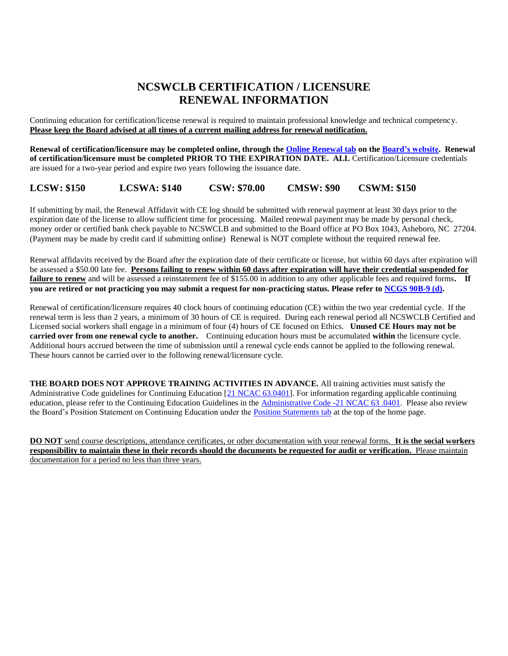## **NCSWCLB CERTIFICATION / LICENSURE RENEWAL INFORMATION**

Continuing education for certification/license renewal is required to maintain professional knowledge and technical competency. **Please keep the Board advised at all times of a current mailing address for renewal notification.**

**Renewal of certification/licensure may be completed online, through the [Online Renewal tab](https://ncswb.igovsolution.net/online/User_login.aspx) on th[e Board's website.](http://www.ncswboard.gov/) Renewal of certification/licensure must be completed PRIOR TO THE EXPIRATION DATE. ALL** Certification/Licensure credentials are issued for a two-year period and expire two years following the issuance date.

**LCSW: \$150 LCSWA: \$140 CSW: \$70.00 CMSW: \$90 CSWM: \$150**

If submitting by mail, the Renewal Affidavit with CE log should be submitted with renewal payment at least 30 days prior to the expiration date of the license to allow sufficient time for processing. Mailed renewal payment may be made by personal check, money order or certified bank check payable to NCSWCLB and submitted to the Board office at PO Box 1043, Asheboro, NC 27204. (Payment may be made by credit card if submitting online) Renewal is NOT complete without the required renewal fee.

Renewal affidavits received by the Board after the expiration date of their certificate or license, but within 60 days after expiration will be assessed a \$50.00 late fee. **Persons failing to renew within 60 days after expiration will have their credential suspended for failure to renew** and will be assessed a reinstatement fee of \$155.00 in addition to any other applicable fees and required forms. If **you are retired or not practicing you may submit a request for non-practicing status. Please refer to [NCGS 90B-9 \(d\).](https://ncswboard.gov/statute/)**

Renewal of certification/licensure requires 40 clock hours of continuing education (CE) within the two year credential cycle. If the renewal term is less than 2 years, a minimum of 30 hours of CE is required. During each renewal period all NCSWCLB Certified and Licensed social workers shall engage in a minimum of four (4) hours of CE focused on Ethics. **Unused CE Hours may not be carried over from one renewal cycle to another.** Continuing education hours must be accumulated **within** the licensure cycle. Additional hours accrued between the time of submission until a renewal cycle ends cannot be applied to the following renewal. These hours cannot be carried over to the following renewal/licensure cycle.

**THE BOARD DOES NOT APPROVE TRAINING ACTIVITIES IN ADVANCE.** All training activities must satisfy the Administrative Code guidelines for Continuing Education [\[21 NCAC 63.0401\]](https://ncswboard.gov/administrative-codes/). For information regarding applicable continuing education, please refer to the Continuing Education Guidelines in the [Administrative Code -21 NCAC 63 .0401.](https://ncswboard.gov/administrative-codes/) Please also review the Board's Position Statement on Continuing Education under the [Position Statements tab](https://ncswboard.gov/position-statements/) at the top of the home page.

**DO NOT** send course descriptions, attendance certificates, or other documentation with your renewal forms. **It is the social workers responsibility to maintain these in their records should the documents be requested for audit or verification.** Please maintain documentation for a period no less than three years.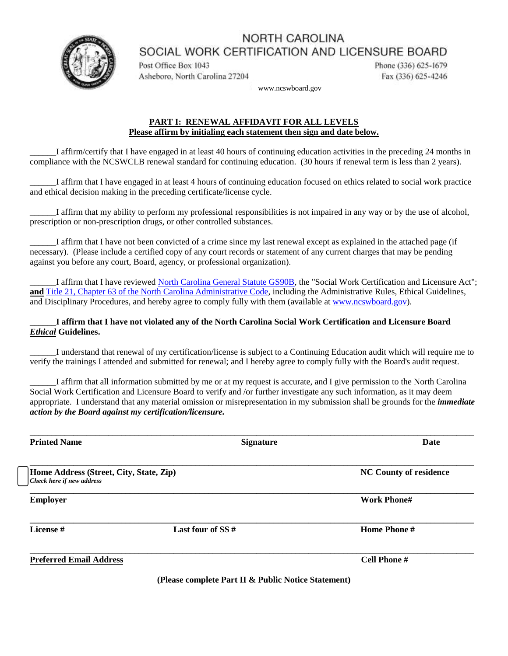NORTH CAROLINA SOCIAL WORK CERTIFICATION AND LICENSURE BOARD



Post Office Box 1043 Asheboro, North Carolina 27204 Phone (336) 625-1679 Fax (336) 625-4246

www.ncswboard.gov

#### **PART I: RENEWAL AFFIDAVIT FOR ALL LEVELS Please affirm by initialing each statement then sign and date below.**

\_\_\_\_\_\_I affirm/certify that I have engaged in at least 40 hours of continuing education activities in the preceding 24 months in compliance with the NCSWCLB renewal standard for continuing education. (30 hours if renewal term is less than 2 years).

\_\_\_\_\_\_I affirm that I have engaged in at least 4 hours of continuing education focused on ethics related to social work practice and ethical decision making in the preceding certificate/license cycle.

\_\_\_\_\_\_I affirm that my ability to perform my professional responsibilities is not impaired in any way or by the use of alcohol, prescription or non-prescription drugs, or other controlled substances.

\_\_\_\_\_\_I affirm that I have not been convicted of a crime since my last renewal except as explained in the attached page (if necessary). (Please include a certified copy of any court records or statement of any current charges that may be pending against you before any court, Board, agency, or professional organization).

\_\_\_\_\_\_I affirm that I have reviewed [North Carolina General Statute GS90B,](https://ncswboard.gov/statute/) the "Social Work Certification and Licensure Act"; **and** [Title 21, Chapter 63 of the North Carolina Administrative Code,](https://ncswboard.gov/administrative-codes/) including the Administrative Rules, Ethical Guidelines, and Disciplinary Procedures, and hereby agree to comply fully with them (available at [www.ncswboard.gov\)](http://www.ncswboard.gov/).

### \_\_\_\_\_\_**I affirm that I have not violated any of the North Carolina Social Work Certification and Licensure Board**  *Ethical* **Guidelines.**

\_\_\_\_\_\_I understand that renewal of my certification/license is subject to a Continuing Education audit which will require me to verify the trainings I attended and submitted for renewal; and I hereby agree to comply fully with the Board's audit request.

\_\_\_\_\_\_I affirm that all information submitted by me or at my request is accurate, and I give permission to the North Carolina Social Work Certification and Licensure Board to verify and /or further investigate any such information, as it may deem appropriate. I understand that any material omission or misrepresentation in my submission shall be grounds for the *immediate action by the Board against my certification/licensure.*

| <b>Printed Name</b>                                                  | <b>Signature</b>   | Date                          |  |  |
|----------------------------------------------------------------------|--------------------|-------------------------------|--|--|
| Home Address (Street, City, State, Zip)<br>Check here if new address |                    | <b>NC County of residence</b> |  |  |
| <b>Employer</b>                                                      |                    | <b>Work Phone#</b>            |  |  |
| License #                                                            | Last four of $SS#$ | <b>Home Phone#</b>            |  |  |
| <b>Preferred Email Address</b>                                       |                    | Cell Phone #                  |  |  |

**(Please complete Part II & Public Notice Statement)**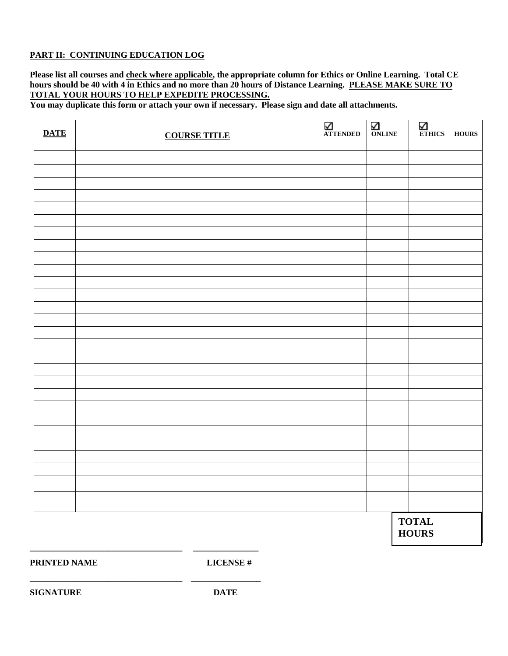### **PART II: CONTINUING EDUCATION LOG**

**Please list all courses and check where applicable, the appropriate column for Ethics or Online Learning. Total CE hours should be 40 with 4 in Ethics and no more than 20 hours of Distance Learning. PLEASE MAKE SURE TO TOTAL YOUR HOURS TO HELP EXPEDITE PROCESSING.**

**You may duplicate this form or attach your own if necessary. Please sign and date all attachments.**

| <b>DATE</b> | <b>COURSE TITLE</b> | <b>ATTENDED</b> | $\overline{\mathsf{M}}$ ONLINE | $\sum_{\text{ETHICS}}$       | <b>HOURS</b> |
|-------------|---------------------|-----------------|--------------------------------|------------------------------|--------------|
|             |                     |                 |                                |                              |              |
|             |                     |                 |                                |                              |              |
|             |                     |                 |                                |                              |              |
|             |                     |                 |                                |                              |              |
|             |                     |                 |                                |                              |              |
|             |                     |                 |                                |                              |              |
|             |                     |                 |                                |                              |              |
|             |                     |                 |                                |                              |              |
|             |                     |                 |                                |                              |              |
|             |                     |                 |                                |                              |              |
|             |                     |                 |                                |                              |              |
|             |                     |                 |                                |                              |              |
|             |                     |                 |                                |                              |              |
|             |                     |                 |                                |                              |              |
|             |                     |                 |                                |                              |              |
|             |                     |                 |                                |                              |              |
|             |                     |                 |                                |                              |              |
|             |                     |                 |                                |                              |              |
|             |                     |                 |                                |                              |              |
|             |                     |                 |                                |                              |              |
|             |                     |                 |                                |                              |              |
|             |                     |                 |                                |                              |              |
|             |                     |                 |                                |                              |              |
|             |                     |                 |                                |                              |              |
|             |                     |                 |                                |                              |              |
|             |                     |                 |                                |                              |              |
|             |                     |                 |                                |                              |              |
|             |                     |                 |                                |                              |              |
|             |                     |                 |                                | <b>TOTAL</b><br><b>HOURS</b> |              |

**PRINTED NAME LICENSE #**

**\_\_\_\_\_\_\_\_\_\_\_\_\_\_\_\_\_\_\_\_\_\_\_\_\_\_\_\_\_\_\_\_\_\_\_ \_\_\_\_\_\_\_\_\_\_\_\_\_\_\_**

**\_\_\_\_\_\_\_\_\_\_\_\_\_\_\_\_\_\_\_\_\_\_\_\_\_\_\_\_\_\_\_\_\_\_\_ \_\_\_\_\_\_\_\_\_\_\_\_\_\_\_\_** 

**SIGNATURE DATE**